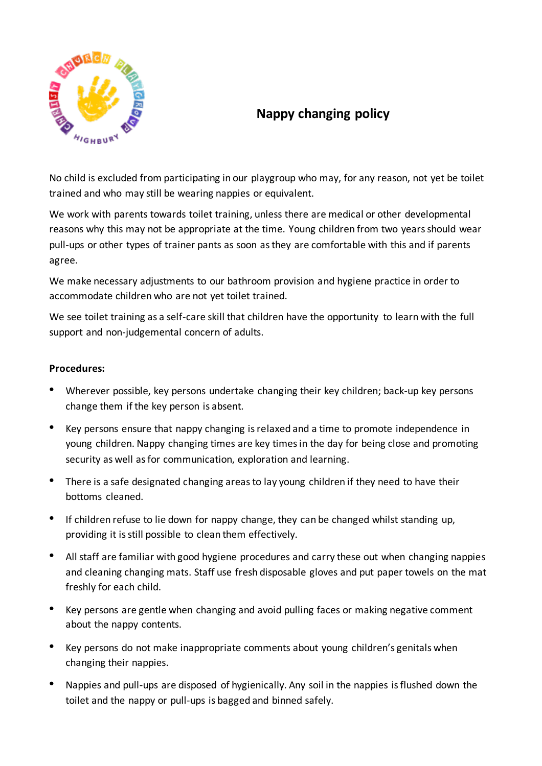

## **Nappy changing policy**

No child is excluded from participating in our playgroup who may, for any reason, not yet be toilet trained and who may still be wearing nappies or equivalent.

We work with parents towards toilet training, unless there are medical or other developmental reasons why this may not be appropriate at the time. Young children from two years should wear pull-ups or other types of trainer pants as soon as they are comfortable with this and if parents agree.

We make necessary adjustments to our bathroom provision and hygiene practice in order to accommodate children who are not yet toilet trained.

We see toilet training as a self-care skill that children have the opportunity to learn with the full support and non-judgemental concern of adults.

## **Procedures:**

- Wherever possible, key persons undertake changing their key children; back-up key persons change them if the key person is absent.
- Key persons ensure that nappy changing is relaxed and a time to promote independence in young children. Nappy changing times are key times in the day for being close and promoting security as well as for communication, exploration and learning.
- There is a safe designated changing areas to lay young children if they need to have their bottoms cleaned.
- If children refuse to lie down for nappy change, they can be changed whilst standing up, providing it is still possible to clean them effectively.
- All staff are familiar with good hygiene procedures and carry these out when changing nappies and cleaning changing mats. Staff use fresh disposable gloves and put paper towels on the mat freshly for each child.
- Key persons are gentle when changing and avoid pulling faces or making negative comment about the nappy contents.
- Key persons do not make inappropriate comments about young children's genitals when changing their nappies.
- Nappies and pull-ups are disposed of hygienically. Any soil in the nappies is flushed down the toilet and the nappy or pull-ups is bagged and binned safely.